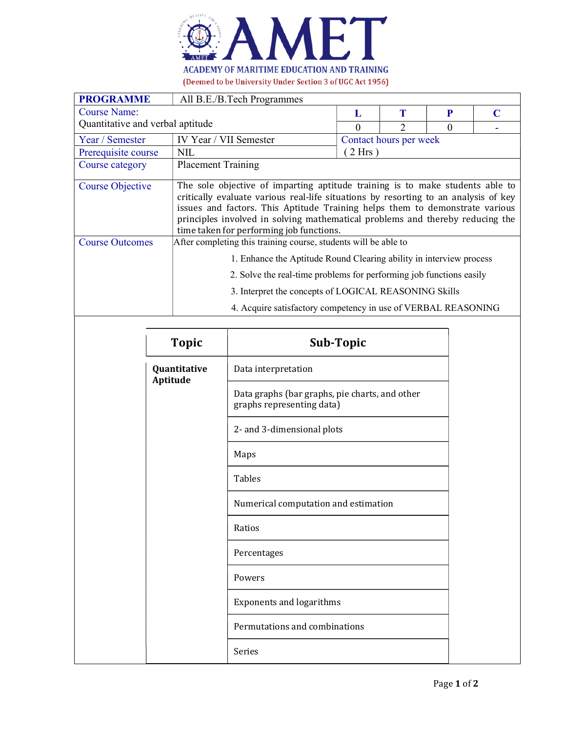

| <b>PROGRAMME</b>                 | All B.E./B.Tech Programmes                                                                                                                                                                                                                                                                                                                                                        |                        |   |          |   |  |  |
|----------------------------------|-----------------------------------------------------------------------------------------------------------------------------------------------------------------------------------------------------------------------------------------------------------------------------------------------------------------------------------------------------------------------------------|------------------------|---|----------|---|--|--|
| Course Name:                     |                                                                                                                                                                                                                                                                                                                                                                                   | L                      | Т | P        | C |  |  |
| Quantitative and verbal aptitude |                                                                                                                                                                                                                                                                                                                                                                                   | 0                      | າ | $\Omega$ |   |  |  |
| Year / Semester                  | IV Year / VII Semester                                                                                                                                                                                                                                                                                                                                                            | Contact hours per week |   |          |   |  |  |
| Prerequisite course              | <b>NIL</b>                                                                                                                                                                                                                                                                                                                                                                        | (2 Hrs)                |   |          |   |  |  |
| Course category                  | <b>Placement Training</b>                                                                                                                                                                                                                                                                                                                                                         |                        |   |          |   |  |  |
| <b>Course Objective</b>          | The sole objective of imparting aptitude training is to make students able to<br>critically evaluate various real-life situations by resorting to an analysis of key<br>issues and factors. This Aptitude Training helps them to demonstrate various<br>principles involved in solving mathematical problems and thereby reducing the<br>time taken for performing job functions. |                        |   |          |   |  |  |
| <b>Course Outcomes</b>           | After completing this training course, students will be able to                                                                                                                                                                                                                                                                                                                   |                        |   |          |   |  |  |
|                                  | 1. Enhance the Aptitude Round Clearing ability in interview process                                                                                                                                                                                                                                                                                                               |                        |   |          |   |  |  |
|                                  | 2. Solve the real-time problems for performing job functions easily<br>3. Interpret the concepts of LOGICAL REASONING Skills                                                                                                                                                                                                                                                      |                        |   |          |   |  |  |
|                                  |                                                                                                                                                                                                                                                                                                                                                                                   |                        |   |          |   |  |  |
|                                  | 4. Acquire satisfactory competency in use of VERBAL REASONING                                                                                                                                                                                                                                                                                                                     |                        |   |          |   |  |  |

| <b>Topic</b>             | <b>Sub-Topic</b>                                                            |  |
|--------------------------|-----------------------------------------------------------------------------|--|
| Quantitative<br>Aptitude | Data interpretation                                                         |  |
|                          | Data graphs (bar graphs, pie charts, and other<br>graphs representing data) |  |
|                          | 2- and 3-dimensional plots                                                  |  |
|                          | Maps                                                                        |  |
|                          | <b>Tables</b>                                                               |  |
|                          | Numerical computation and estimation                                        |  |
|                          | Ratios                                                                      |  |
|                          | Percentages                                                                 |  |
|                          | Powers                                                                      |  |
|                          | <b>Exponents and logarithms</b>                                             |  |
|                          | Permutations and combinations                                               |  |
|                          | Series                                                                      |  |